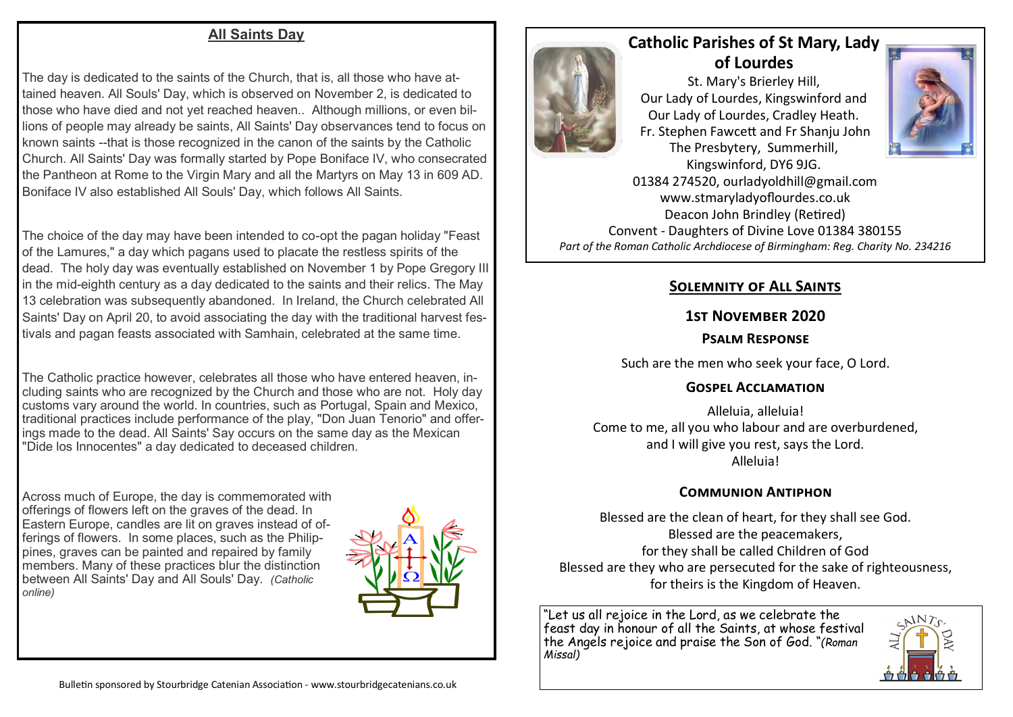#### **All Saints Day**

The day is dedicated to the saints of the Church, that is, all those who have attained heaven. All Souls' Day, which is observed on November 2, is dedicated to those who have died and not yet reached heaven.. Although millions, or even billions of people may already be saints, All Saints' Day observances tend to focus on known saints --that is those recognized in the canon of the saints by the Catholic Church. All Saints' Day was formally started by Pope Boniface IV, who consecrated the Pantheon at Rome to the Virgin Mary and all the Martyrs on May 13 in 609 AD. Boniface IV also established All Souls' Day, which follows All Saints.

The choice of the day may have been intended to co-opt the pagan holiday "Feast of the Lamures," a day which pagans used to placate the restless spirits of the dead. The holy day was eventually established on November 1 by Pope Gregory III in the mid-eighth century as a day dedicated to the saints and their relics. The May 13 celebration was subsequently abandoned. In Ireland, the Church celebrated All Saints' Day on April 20, to avoid associating the day with the traditional harvest festivals and pagan feasts associated with Samhain, celebrated at the same time.

The Catholic practice however, celebrates all those who have entered heaven, including saints who are recognized by the Church and those who are not. Holy day customs vary around the world. In countries, such as Portugal, Spain and Mexico, traditional practices include performance of the play, "Don Juan Tenorio" and offerings made to the dead. All Saints' Say occurs on the same day as the Mexican "Dide los Innocentes" a day dedicated to deceased children.

Across much of Europe, the day is commemorated with offerings of flowers left on the graves of the dead. In Eastern Europe, candles are lit on graves instead of offerings of flowers. In some places, such as the Philippines, graves can be painted and repaired by family members. Many of these practices blur the distinction between All Saints' Day and All Souls' Day. *(Catholic online)*





# **Catholic Parishes of St Mary, Lady of Lourdes**

St. Mary's Brierley Hill, Our Lady of Lourdes, Kingswinford and Our Lady of Lourdes, Cradley Heath. Fr. Stephen Fawcett and Fr Shanju John The Presbytery, Summerhill, Kingswinford, DY6 9JG.



01384 274520, ourladyoldhill@gmail.com www.stmaryladyoflourdes.co.uk Deacon John Brindley (Retired) Convent - Daughters of Divine Love 01384 380155 *Part of the Roman Catholic Archdiocese of Birmingham: Reg. Charity No. 234216*

# **Solemnity of All Saints**

#### **1st November 2020**

#### **Psalm Response**

Such are the men who seek your face, O Lord.

## **Gospel Acclamation**

Alleluia, alleluia! Come to me, all you who labour and are overburdened, and I will give you rest, says the Lord. Alleluia!

## **Communion Antiphon**

Blessed are the clean of heart, for they shall see God. Blessed are the peacemakers, for they shall be called Children of God Blessed are they who are persecuted for the sake of righteousness, for theirs is the Kingdom of Heaven.

"Let us all rejoice in the Lord, as we celebrate the feast day in honour of all the Saints, at whose festival the Angels rejoice and praise the Son of God. "*(Roman Missal)*